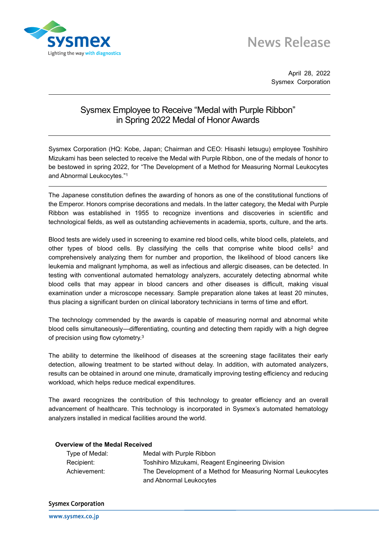

## **News Release**

April 28, 2022 Sysmex Corporation

## Sysmex Employee to Receive "Medal with Purple Ribbon" in Spring 2022 Medal of Honor Awards

Sysmex Corporation (HQ: Kobe, Japan; Chairman and CEO: Hisashi Ietsugu) employee Toshihiro Mizukami has been selected to receive the Medal with Purple Ribbon, one of the medals of honor to be bestowed in spring 2022, for "The Development of a Method for Measuring Normal Leukocytes and Abnormal Leukocytes." 1

The Japanese constitution defines the awarding of honors as one of the constitutional functions of the Emperor. Honors comprise decorations and medals. In the latter category, the Medal with Purple Ribbon was established in 1955 to recognize inventions and discoveries in scientific and technological fields, as well as outstanding achievements in academia, sports, culture, and the arts.

Blood tests are widely used in screening to examine red blood cells, white blood cells, platelets, and other types of blood cells. By classifying the cells that comprise white blood cells<sup>2</sup> and comprehensively analyzing them for number and proportion, the likelihood of blood cancers like leukemia and malignant lymphoma, as well as infectious and allergic diseases, can be detected. In testing with conventional automated hematology analyzers, accurately detecting abnormal white blood cells that may appear in blood cancers and other diseases is difficult, making visual examination under a microscope necessary. Sample preparation alone takes at least 20 minutes, thus placing a significant burden on clinical laboratory technicians in terms of time and effort.

The technology commended by the awards is capable of measuring normal and abnormal white blood cells simultaneously—differentiating, counting and detecting them rapidly with a high degree of precision using flow cytometry.<sup>3</sup>

The ability to determine the likelihood of diseases at the screening stage facilitates their early detection, allowing treatment to be started without delay. In addition, with automated analyzers, results can be obtained in around one minute, dramatically improving testing efficiency and reducing workload, which helps reduce medical expenditures.

The award recognizes the contribution of this technology to greater efficiency and an overall advancement of healthcare. This technology is incorporated in Sysmex's automated hematology analyzers installed in medical facilities around the world.

| <b>Overview of the Medal Received</b> |                                                             |
|---------------------------------------|-------------------------------------------------------------|
| Type of Medal:                        | Medal with Purple Ribbon                                    |
| Recipient:                            | Toshihiro Mizukami, Reagent Engineering Division            |
| Achievement:                          | The Development of a Method for Measuring Normal Leukocytes |
|                                       | and Abnormal Leukocytes                                     |

## **Sysmex Corporation**